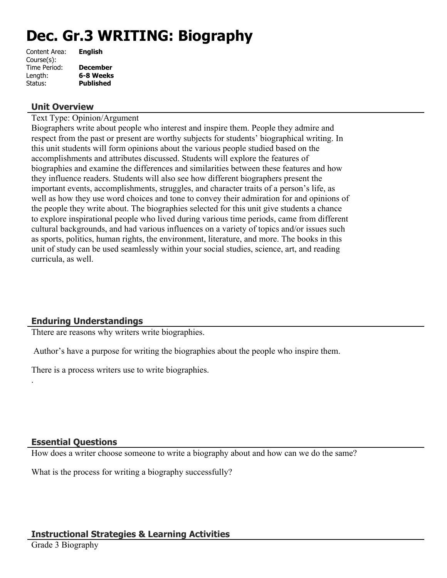# **Dec. Gr.3 WRITING: Biography**

| Content Area: | <b>English</b>   |
|---------------|------------------|
| Course(s):    |                  |
| Time Period:  | <b>December</b>  |
| Length:       | 6-8 Weeks        |
| Status:       | <b>Published</b> |
|               |                  |

#### **Unit Overview**

Text Type: Opinion/Argument

Biographers write about people who interest and inspire them. People they admire and respect from the past or present are worthy subjects for students' biographical writing. In this unit students will form opinions about the various people studied based on the accomplishments and attributes discussed. Students will explore the features of biographies and examine the differences and similarities between these features and how they influence readers. Students will also see how different biographers present the important events, accomplishments, struggles, and character traits of a person's life, as well as how they use word choices and tone to convey their admiration for and opinions of the people they write about. The biographies selected for this unit give students a chance to explore inspirational people who lived during various time periods, came from different cultural backgrounds, and had various influences on a variety of topics and/or issues such as sports, politics, human rights, the environment, literature, and more. The books in this unit of study can be used seamlessly within your social studies, science, art, and reading curricula, as well.

# **Enduring Understandings**

Thtere are reasons why writers write biographies.

Author's have a purpose for writing the biographies about the people who inspire them.

There is a process writers use to write biographies.

#### **Essential Questions**

.

How does a writer choose someone to write a biography about and how can we do the same?

What is the process for writing a biography successfully?

## **Instructional Strategies & Learning Activities**

Grade 3 Biography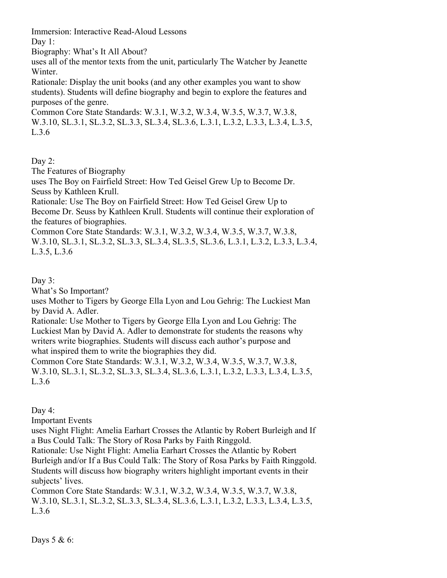Immersion: Interactive Read-Aloud Lessons

Day 1:

Biography: What's It All About?

uses all of the mentor texts from the unit, particularly The Watcher by Jeanette Winter.

Rationale: Display the unit books (and any other examples you want to show students). Students will define biography and begin to explore the features and purposes of the genre.

Common Core State Standards: W.3.1, W.3.2, W.3.4, W.3.5, W.3.7, W.3.8, W.3.10, SL.3.1, SL.3.2, SL.3.3, SL.3.4, SL.3.6, L.3.1, L.3.2, L.3.3, L.3.4, L.3.5, L.3.6

Day 2:

The Features of Biography

uses The Boy on Fairfield Street: How Ted Geisel Grew Up to Become Dr. Seuss by Kathleen Krull.

Rationale: Use The Boy on Fairfield Street: How Ted Geisel Grew Up to Become Dr. Seuss by Kathleen Krull. Students will continue their exploration of the features of biographies.

Common Core State Standards: W.3.1, W.3.2, W.3.4, W.3.5, W.3.7, W.3.8, W.3.10, SL.3.1, SL.3.2, SL.3.3, SL.3.4, SL.3.5, SL.3.6, L.3.1, L.3.2, L.3.3, L.3.4, L.3.5, L.3.6

Day 3:

What's So Important?

uses Mother to Tigers by George Ella Lyon and Lou Gehrig: The Luckiest Man by David A. Adler.

Rationale: Use Mother to Tigers by George Ella Lyon and Lou Gehrig: The Luckiest Man by David A. Adler to demonstrate for students the reasons why writers write biographies. Students will discuss each author's purpose and what inspired them to write the biographies they did.

Common Core State Standards: W.3.1, W.3.2, W.3.4, W.3.5, W.3.7, W.3.8, W.3.10, SL.3.1, SL.3.2, SL.3.3, SL.3.4, SL.3.6, L.3.1, L.3.2, L.3.3, L.3.4, L.3.5, L.3.6

Day 4:

Important Events

uses Night Flight: Amelia Earhart Crosses the Atlantic by Robert Burleigh and If a Bus Could Talk: The Story of Rosa Parks by Faith Ringgold.

Rationale: Use Night Flight: Amelia Earhart Crosses the Atlantic by Robert Burleigh and/or If a Bus Could Talk: The Story of Rosa Parks by Faith Ringgold. Students will discuss how biography writers highlight important events in their subjects' lives.

Common Core State Standards: W.3.1, W.3.2, W.3.4, W.3.5, W.3.7, W.3.8, W.3.10, SL.3.1, SL.3.2, SL.3.3, SL.3.4, SL.3.6, L.3.1, L.3.2, L.3.3, L.3.4, L.3.5, L.3.6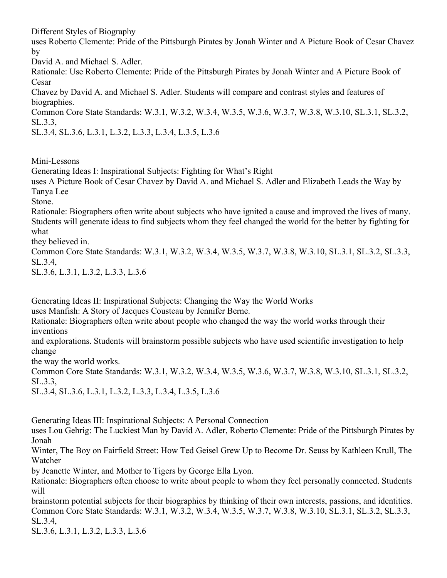Different Styles of Biography

uses Roberto Clemente: Pride of the Pittsburgh Pirates by Jonah Winter and A Picture Book of Cesar Chavez by

David A. and Michael S. Adler.

Rationale: Use Roberto Clemente: Pride of the Pittsburgh Pirates by Jonah Winter and A Picture Book of Cesar

Chavez by David A. and Michael S. Adler. Students will compare and contrast styles and features of biographies.

Common Core State Standards: W.3.1, W.3.2, W.3.4, W.3.5, W.3.6, W.3.7, W.3.8, W.3.10, SL.3.1, SL.3.2, SL.3.3,

SL.3.4, SL.3.6, L.3.1, L.3.2, L.3.3, L.3.4, L.3.5, L.3.6

Mini-Lessons

Generating Ideas I: Inspirational Subjects: Fighting for What's Right

uses A Picture Book of Cesar Chavez by David A. and Michael S. Adler and Elizabeth Leads the Way by Tanya Lee

Stone.

Rationale: Biographers often write about subjects who have ignited a cause and improved the lives of many. Students will generate ideas to find subjects whom they feel changed the world for the better by fighting for what

they believed in.

Common Core State Standards: W.3.1, W.3.2, W.3.4, W.3.5, W.3.7, W.3.8, W.3.10, SL.3.1, SL.3.2, SL.3.3, SL.3.4,

SL.3.6, L.3.1, L.3.2, L.3.3, L.3.6

Generating Ideas II: Inspirational Subjects: Changing the Way the World Works

uses Manfish: A Story of Jacques Cousteau by Jennifer Berne.

Rationale: Biographers often write about people who changed the way the world works through their inventions

and explorations. Students will brainstorm possible subjects who have used scientific investigation to help change

the way the world works.

Common Core State Standards: W.3.1, W.3.2, W.3.4, W.3.5, W.3.6, W.3.7, W.3.8, W.3.10, SL.3.1, SL.3.2, SL.3.3,

SL.3.4, SL.3.6, L.3.1, L.3.2, L.3.3, L.3.4, L.3.5, L.3.6

Generating Ideas III: Inspirational Subjects: A Personal Connection

uses Lou Gehrig: The Luckiest Man by David A. Adler, Roberto Clemente: Pride of the Pittsburgh Pirates by Jonah

Winter, The Boy on Fairfield Street: How Ted Geisel Grew Up to Become Dr. Seuss by Kathleen Krull, The Watcher

by Jeanette Winter, and Mother to Tigers by George Ella Lyon.

Rationale: Biographers often choose to write about people to whom they feel personally connected. Students will

brainstorm potential subjects for their biographies by thinking of their own interests, passions, and identities. Common Core State Standards: W.3.1, W.3.2, W.3.4, W.3.5, W.3.7, W.3.8, W.3.10, SL.3.1, SL.3.2, SL.3.3, SL.3.4,

SL.3.6, L.3.1, L.3.2, L.3.3, L.3.6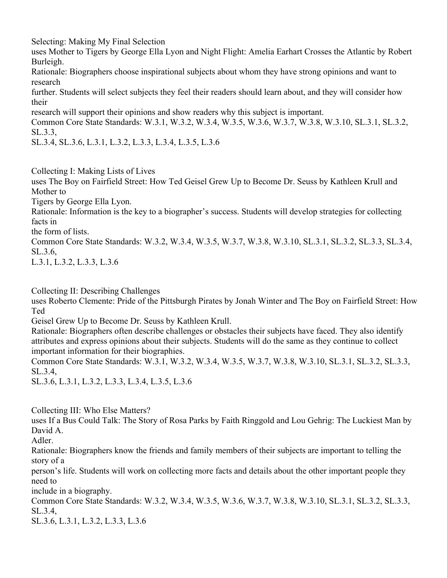Selecting: Making My Final Selection

uses Mother to Tigers by George Ella Lyon and Night Flight: Amelia Earhart Crosses the Atlantic by Robert Burleigh.

Rationale: Biographers choose inspirational subjects about whom they have strong opinions and want to research

further. Students will select subjects they feel their readers should learn about, and they will consider how their

research will support their opinions and show readers why this subject is important.

Common Core State Standards: W.3.1, W.3.2, W.3.4, W.3.5, W.3.6, W.3.7, W.3.8, W.3.10, SL.3.1, SL.3.2, SL.3.3,

SL.3.4, SL.3.6, L.3.1, L.3.2, L.3.3, L.3.4, L.3.5, L.3.6

Collecting I: Making Lists of Lives

uses The Boy on Fairfield Street: How Ted Geisel Grew Up to Become Dr. Seuss by Kathleen Krull and Mother to

Tigers by George Ella Lyon.

Rationale: Information is the key to a biographer's success. Students will develop strategies for collecting facts in

the form of lists.

Common Core State Standards: W.3.2, W.3.4, W.3.5, W.3.7, W.3.8, W.3.10, SL.3.1, SL.3.2, SL.3.3, SL.3.4, SL.3.6,

L.3.1, L.3.2, L.3.3, L.3.6

Collecting II: Describing Challenges

uses Roberto Clemente: Pride of the Pittsburgh Pirates by Jonah Winter and The Boy on Fairfield Street: How Ted

Geisel Grew Up to Become Dr. Seuss by Kathleen Krull.

Rationale: Biographers often describe challenges or obstacles their subjects have faced. They also identify attributes and express opinions about their subjects. Students will do the same as they continue to collect important information for their biographies.

Common Core State Standards: W.3.1, W.3.2, W.3.4, W.3.5, W.3.7, W.3.8, W.3.10, SL.3.1, SL.3.2, SL.3.3, SL.3.4,

SL.3.6, L.3.1, L.3.2, L.3.3, L.3.4, L.3.5, L.3.6

Collecting III: Who Else Matters?

uses If a Bus Could Talk: The Story of Rosa Parks by Faith Ringgold and Lou Gehrig: The Luckiest Man by David A.

Adler.

Rationale: Biographers know the friends and family members of their subjects are important to telling the story of a

person's life. Students will work on collecting more facts and details about the other important people they need to

include in a biography.

Common Core State Standards: W.3.2, W.3.4, W.3.5, W.3.6, W.3.7, W.3.8, W.3.10, SL.3.1, SL.3.2, SL.3.3, SL.3.4,

SL.3.6, L.3.1, L.3.2, L.3.3, L.3.6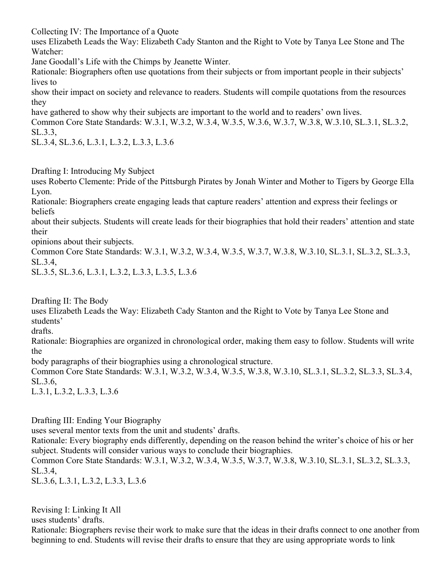Collecting IV: The Importance of a Quote

uses Elizabeth Leads the Way: Elizabeth Cady Stanton and the Right to Vote by Tanya Lee Stone and The Watcher:

Jane Goodall's Life with the Chimps by Jeanette Winter.

Rationale: Biographers often use quotations from their subjects or from important people in their subjects' lives to

show their impact on society and relevance to readers. Students will compile quotations from the resources they

have gathered to show why their subjects are important to the world and to readers' own lives.

Common Core State Standards: W.3.1, W.3.2, W.3.4, W.3.5, W.3.6, W.3.7, W.3.8, W.3.10, SL.3.1, SL.3.2, SL.3.3,

SL.3.4, SL.3.6, L.3.1, L.3.2, L.3.3, L.3.6

Drafting I: Introducing My Subject

uses Roberto Clemente: Pride of the Pittsburgh Pirates by Jonah Winter and Mother to Tigers by George Ella Lyon.

Rationale: Biographers create engaging leads that capture readers' attention and express their feelings or beliefs

about their subjects. Students will create leads for their biographies that hold their readers' attention and state their

opinions about their subjects.

Common Core State Standards: W.3.1, W.3.2, W.3.4, W.3.5, W.3.7, W.3.8, W.3.10, SL.3.1, SL.3.2, SL.3.3, SL.3.4,

SL.3.5, SL.3.6, L.3.1, L.3.2, L.3.3, L.3.5, L.3.6

Drafting II: The Body

uses Elizabeth Leads the Way: Elizabeth Cady Stanton and the Right to Vote by Tanya Lee Stone and students'

drafts.

Rationale: Biographies are organized in chronological order, making them easy to follow. Students will write the

body paragraphs of their biographies using a chronological structure.

Common Core State Standards: W.3.1, W.3.2, W.3.4, W.3.5, W.3.8, W.3.10, SL.3.1, SL.3.2, SL.3.3, SL.3.4, SL.3.6,

L.3.1, L.3.2, L.3.3, L.3.6

Drafting III: Ending Your Biography

uses several mentor texts from the unit and students' drafts.

Rationale: Every biography ends differently, depending on the reason behind the writer's choice of his or her subject. Students will consider various ways to conclude their biographies.

Common Core State Standards: W.3.1, W.3.2, W.3.4, W.3.5, W.3.7, W.3.8, W.3.10, SL.3.1, SL.3.2, SL.3.3, SL.3.4,

SL.3.6, L.3.1, L.3.2, L.3.3, L.3.6

Revising I: Linking It All

uses students' drafts.

Rationale: Biographers revise their work to make sure that the ideas in their drafts connect to one another from beginning to end. Students will revise their drafts to ensure that they are using appropriate words to link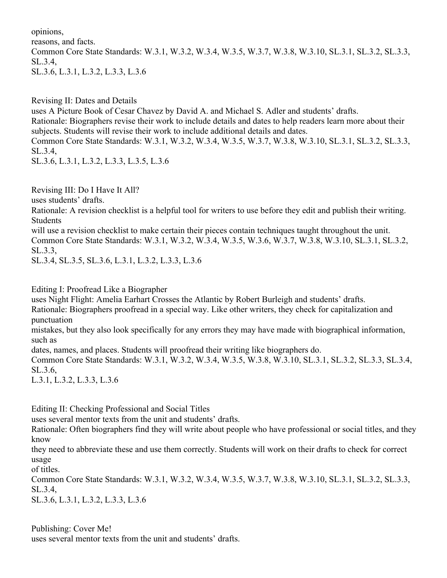opinions,

reasons, and facts.

Common Core State Standards: W.3.1, W.3.2, W.3.4, W.3.5, W.3.7, W.3.8, W.3.10, SL.3.1, SL.3.2, SL.3.3, SL.3.4, SL.3.6, L.3.1, L.3.2, L.3.3, L.3.6

Revising II: Dates and Details

uses A Picture Book of Cesar Chavez by David A. and Michael S. Adler and students' drafts.

Rationale: Biographers revise their work to include details and dates to help readers learn more about their subjects. Students will revise their work to include additional details and dates.

Common Core State Standards: W.3.1, W.3.2, W.3.4, W.3.5, W.3.7, W.3.8, W.3.10, SL.3.1, SL.3.2, SL.3.3, SL.3.4,

SL.3.6, L.3.1, L.3.2, L.3.3, L.3.5, L.3.6

Revising III: Do I Have It All?

uses students' drafts.

Rationale: A revision checklist is a helpful tool for writers to use before they edit and publish their writing. Students

will use a revision checklist to make certain their pieces contain techniques taught throughout the unit. Common Core State Standards: W.3.1, W.3.2, W.3.4, W.3.5, W.3.6, W.3.7, W.3.8, W.3.10, SL.3.1, SL.3.2, SL.3.3,

SL.3.4, SL.3.5, SL.3.6, L.3.1, L.3.2, L.3.3, L.3.6

Editing I: Proofread Like a Biographer

uses Night Flight: Amelia Earhart Crosses the Atlantic by Robert Burleigh and students' drafts.

Rationale: Biographers proofread in a special way. Like other writers, they check for capitalization and punctuation

mistakes, but they also look specifically for any errors they may have made with biographical information, such as

dates, names, and places. Students will proofread their writing like biographers do.

Common Core State Standards: W.3.1, W.3.2, W.3.4, W.3.5, W.3.8, W.3.10, SL.3.1, SL.3.2, SL.3.3, SL.3.4, SL.3.6,

L.3.1, L.3.2, L.3.3, L.3.6

Editing II: Checking Professional and Social Titles

uses several mentor texts from the unit and students' drafts.

Rationale: Often biographers find they will write about people who have professional or social titles, and they know

they need to abbreviate these and use them correctly. Students will work on their drafts to check for correct usage

of titles.

Common Core State Standards: W.3.1, W.3.2, W.3.4, W.3.5, W.3.7, W.3.8, W.3.10, SL.3.1, SL.3.2, SL.3.3, SL.3.4,

SL.3.6, L.3.1, L.3.2, L.3.3, L.3.6

Publishing: Cover Me! uses several mentor texts from the unit and students' drafts.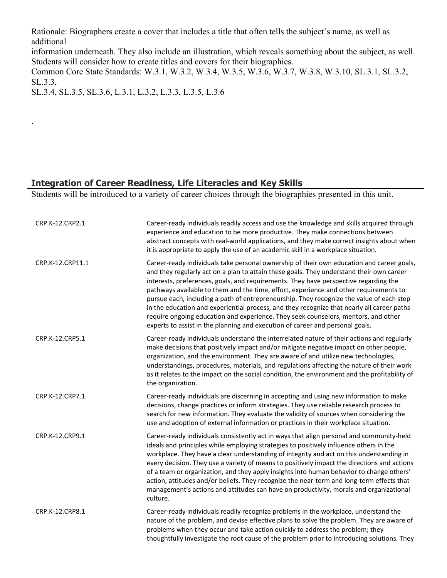Rationale: Biographers create a cover that includes a title that often tells the subject's name, as well as additional

information underneath. They also include an illustration, which reveals something about the subject, as well. Students will consider how to create titles and covers for their biographies.

Common Core State Standards: W.3.1, W.3.2, W.3.4, W.3.5, W.3.6, W.3.7, W.3.8, W.3.10, SL.3.1, SL.3.2, SL.3.3,

SL.3.4, SL.3.5, SL.3.6, L.3.1, L.3.2, L.3.3, L.3.5, L.3.6

.

# **Integration of Career Readiness, Life Literacies and Key Skills**

Students will be introduced to a variety of career choices through the biographies presented in this unit.

| CRP.K-12.CRP2.1  | Career-ready individuals readily access and use the knowledge and skills acquired through<br>experience and education to be more productive. They make connections between<br>abstract concepts with real-world applications, and they make correct insights about when<br>it is appropriate to apply the use of an academic skill in a workplace situation.                                                                                                                                                                                                                                                                                                                                                                            |
|------------------|-----------------------------------------------------------------------------------------------------------------------------------------------------------------------------------------------------------------------------------------------------------------------------------------------------------------------------------------------------------------------------------------------------------------------------------------------------------------------------------------------------------------------------------------------------------------------------------------------------------------------------------------------------------------------------------------------------------------------------------------|
| CRP.K-12.CRP11.1 | Career-ready individuals take personal ownership of their own education and career goals,<br>and they regularly act on a plan to attain these goals. They understand their own career<br>interests, preferences, goals, and requirements. They have perspective regarding the<br>pathways available to them and the time, effort, experience and other requirements to<br>pursue each, including a path of entrepreneurship. They recognize the value of each step<br>in the education and experiential process, and they recognize that nearly all career paths<br>require ongoing education and experience. They seek counselors, mentors, and other<br>experts to assist in the planning and execution of career and personal goals. |
| CRP.K-12.CRP5.1  | Career-ready individuals understand the interrelated nature of their actions and regularly<br>make decisions that positively impact and/or mitigate negative impact on other people,<br>organization, and the environment. They are aware of and utilize new technologies,<br>understandings, procedures, materials, and regulations affecting the nature of their work<br>as it relates to the impact on the social condition, the environment and the profitability of<br>the organization.                                                                                                                                                                                                                                           |
| CRP.K-12.CRP7.1  | Career-ready individuals are discerning in accepting and using new information to make<br>decisions, change practices or inform strategies. They use reliable research process to<br>search for new information. They evaluate the validity of sources when considering the<br>use and adoption of external information or practices in their workplace situation.                                                                                                                                                                                                                                                                                                                                                                      |
| CRP.K-12.CRP9.1  | Career-ready individuals consistently act in ways that align personal and community-held<br>ideals and principles while employing strategies to positively influence others in the<br>workplace. They have a clear understanding of integrity and act on this understanding in<br>every decision. They use a variety of means to positively impact the directions and actions<br>of a team or organization, and they apply insights into human behavior to change others'<br>action, attitudes and/or beliefs. They recognize the near-term and long-term effects that<br>management's actions and attitudes can have on productivity, morals and organizational<br>culture.                                                            |
| CRP.K-12.CRP8.1  | Career-ready individuals readily recognize problems in the workplace, understand the<br>nature of the problem, and devise effective plans to solve the problem. They are aware of<br>problems when they occur and take action quickly to address the problem; they<br>thoughtfully investigate the root cause of the problem prior to introducing solutions. They                                                                                                                                                                                                                                                                                                                                                                       |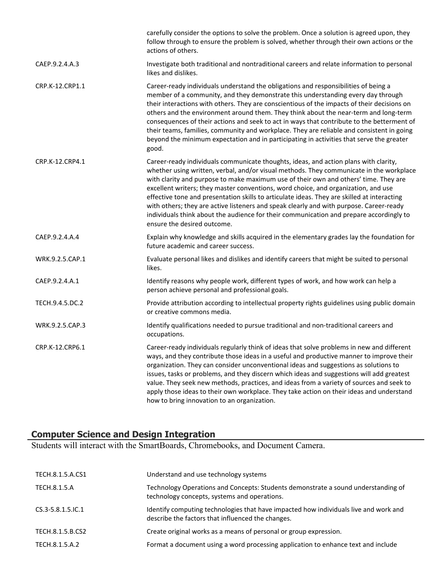|                 | carefully consider the options to solve the problem. Once a solution is agreed upon, they<br>follow through to ensure the problem is solved, whether through their own actions or the<br>actions of others.                                                                                                                                                                                                                                                                                                                                                                                                                                                                       |
|-----------------|-----------------------------------------------------------------------------------------------------------------------------------------------------------------------------------------------------------------------------------------------------------------------------------------------------------------------------------------------------------------------------------------------------------------------------------------------------------------------------------------------------------------------------------------------------------------------------------------------------------------------------------------------------------------------------------|
| CAEP.9.2.4.A.3  | Investigate both traditional and nontraditional careers and relate information to personal<br>likes and dislikes.                                                                                                                                                                                                                                                                                                                                                                                                                                                                                                                                                                 |
| CRP.K-12.CRP1.1 | Career-ready individuals understand the obligations and responsibilities of being a<br>member of a community, and they demonstrate this understanding every day through<br>their interactions with others. They are conscientious of the impacts of their decisions on<br>others and the environment around them. They think about the near-term and long-term<br>consequences of their actions and seek to act in ways that contribute to the betterment of<br>their teams, families, community and workplace. They are reliable and consistent in going<br>beyond the minimum expectation and in participating in activities that serve the greater<br>good.                    |
| CRP.K-12.CRP4.1 | Career-ready individuals communicate thoughts, ideas, and action plans with clarity,<br>whether using written, verbal, and/or visual methods. They communicate in the workplace<br>with clarity and purpose to make maximum use of their own and others' time. They are<br>excellent writers; they master conventions, word choice, and organization, and use<br>effective tone and presentation skills to articulate ideas. They are skilled at interacting<br>with others; they are active listeners and speak clearly and with purpose. Career-ready<br>individuals think about the audience for their communication and prepare accordingly to<br>ensure the desired outcome. |
| CAEP.9.2.4.A.4  | Explain why knowledge and skills acquired in the elementary grades lay the foundation for<br>future academic and career success.                                                                                                                                                                                                                                                                                                                                                                                                                                                                                                                                                  |
| WRK.9.2.5.CAP.1 | Evaluate personal likes and dislikes and identify careers that might be suited to personal<br>likes.                                                                                                                                                                                                                                                                                                                                                                                                                                                                                                                                                                              |
| CAEP.9.2.4.A.1  | Identify reasons why people work, different types of work, and how work can help a<br>person achieve personal and professional goals.                                                                                                                                                                                                                                                                                                                                                                                                                                                                                                                                             |
| TECH.9.4.5.DC.2 | Provide attribution according to intellectual property rights guidelines using public domain<br>or creative commons media.                                                                                                                                                                                                                                                                                                                                                                                                                                                                                                                                                        |
| WRK.9.2.5.CAP.3 | Identify qualifications needed to pursue traditional and non-traditional careers and<br>occupations.                                                                                                                                                                                                                                                                                                                                                                                                                                                                                                                                                                              |
| CRP.K-12.CRP6.1 | Career-ready individuals regularly think of ideas that solve problems in new and different<br>ways, and they contribute those ideas in a useful and productive manner to improve their<br>organization. They can consider unconventional ideas and suggestions as solutions to<br>issues, tasks or problems, and they discern which ideas and suggestions will add greatest<br>value. They seek new methods, practices, and ideas from a variety of sources and seek to<br>apply those ideas to their own workplace. They take action on their ideas and understand<br>how to bring innovation to an organization.                                                                |

#### **Computer Science and Design Integration**

Students will interact with the SmartBoards, Chromebooks, and Document Camera.

| TECH.8.1.5.A.CS1         | Understand and use technology systems                                                                                                     |
|--------------------------|-------------------------------------------------------------------------------------------------------------------------------------------|
| TECH.8.1.5.A             | Technology Operations and Concepts: Students demonstrate a sound understanding of<br>technology concepts, systems and operations.         |
| $CS.3 - 5.8.1.5$ . IC. 1 | Identify computing technologies that have impacted how individuals live and work and<br>describe the factors that influenced the changes. |
| TECH.8.1.5.B.CS2         | Create original works as a means of personal or group expression.                                                                         |
| TECH.8.1.5.A.2           | Format a document using a word processing application to enhance text and include                                                         |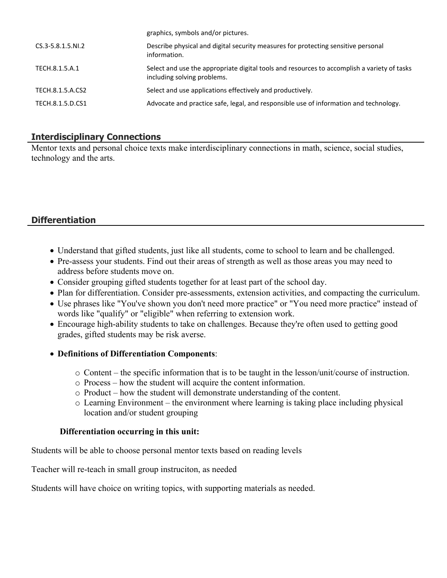| graphics, symbols and/or pictures.                                                                                         |
|----------------------------------------------------------------------------------------------------------------------------|
| Describe physical and digital security measures for protecting sensitive personal<br>information.                          |
| Select and use the appropriate digital tools and resources to accomplish a variety of tasks<br>including solving problems. |
| Select and use applications effectively and productively.                                                                  |
| Advocate and practice safe, legal, and responsible use of information and technology.                                      |
|                                                                                                                            |

 $g(x) = \frac{1}{2} \int_0^1 f(x) \, dx$ 

# **Interdisciplinary Connections**

Mentor texts and personal choice texts make interdisciplinary connections in math, science, social studies, technology and the arts.

# **Differentiation**

- Understand that gifted students, just like all students, come to school to learn and be challenged.
- Pre-assess your students. Find out their areas of strength as well as those areas you may need to address before students move on.
- Consider grouping gifted students together for at least part of the school day.
- Plan for differentiation. Consider pre-assessments, extension activities, and compacting the curriculum.
- Use phrases like "You've shown you don't need more practice" or "You need more practice" instead of words like "qualify" or "eligible" when referring to extension work.
- Encourage high-ability students to take on challenges. Because they're often used to getting good grades, gifted students may be risk averse.

#### **Definitions of Differentiation Components**:

- o Content the specific information that is to be taught in the lesson/unit/course of instruction.
- o Process how the student will acquire the content information.
- o Product how the student will demonstrate understanding of the content.
- o Learning Environment the environment where learning is taking place including physical location and/or student grouping

#### **Differentiation occurring in this unit:**

Students will be able to choose personal mentor texts based on reading levels

Teacher will re-teach in small group instruciton, as needed

Students will have choice on writing topics, with supporting materials as needed.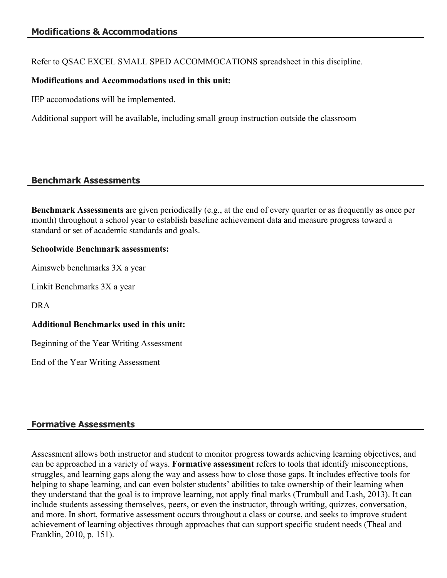Refer to QSAC EXCEL SMALL SPED ACCOMMOCATIONS spreadsheet in this discipline.

### **Modifications and Accommodations used in this unit:**

IEP accomodations will be implemented.

Additional support will be available, including small group instruction outside the classroom

## **Benchmark Assessments**

**Benchmark Assessments** are given periodically (e.g., at the end of every quarter or as frequently as once per month) throughout a school year to establish baseline achievement data and measure progress toward a standard or set of academic standards and goals.

#### **Schoolwide Benchmark assessments:**

Aimsweb benchmarks 3X a year

Linkit Benchmarks 3X a year

DRA

## **Additional Benchmarks used in this unit:**

Beginning of the Year Writing Assessment

End of the Year Writing Assessment

## **Formative Assessments**

Assessment allows both instructor and student to monitor progress towards achieving learning objectives, and can be approached in a variety of ways. **Formative assessment** refers to tools that identify misconceptions, struggles, and learning gaps along the way and assess how to close those gaps. It includes effective tools for helping to shape learning, and can even bolster students' abilities to take ownership of their learning when they understand that the goal is to improve learning, not apply final marks (Trumbull and Lash, 2013). It can include students assessing themselves, peers, or even the instructor, through writing, quizzes, conversation, and more. In short, formative assessment occurs throughout a class or course, and seeks to improve student achievement of learning objectives through approaches that can support specific student needs (Theal and Franklin, 2010, p. 151).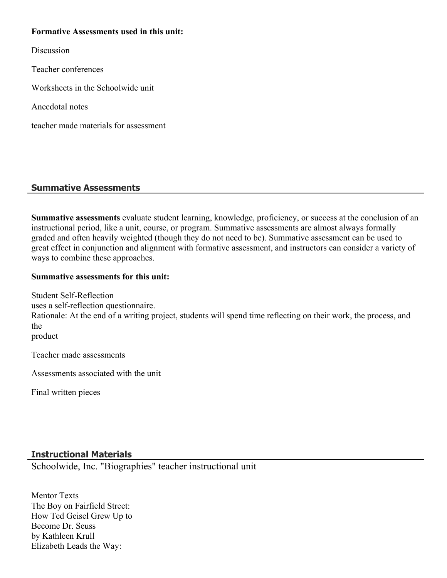#### **Formative Assessments used in this unit:**

**Discussion** 

Teacher conferences

Worksheets in the Schoolwide unit

Anecdotal notes

teacher made materials for assessment

# **Summative Assessments**

**Summative assessments** evaluate student learning, knowledge, proficiency, or success at the conclusion of an instructional period, like a unit, course, or program. Summative assessments are almost always formally graded and often heavily weighted (though they do not need to be). Summative assessment can be used to great effect in conjunction and alignment with formative assessment, and instructors can consider a variety of ways to combine these approaches.

#### **Summative assessments for this unit:**

Student Self-Reflection uses a self-reflection questionnaire. Rationale: At the end of a writing project, students will spend time reflecting on their work, the process, and the product

Teacher made assessments

Assessments associated with the unit

Final written pieces

# **Instructional Materials**

Schoolwide, Inc. "Biographies" teacher instructional unit

Mentor Texts The Boy on Fairfield Street: How Ted Geisel Grew Up to Become Dr. Seuss by Kathleen Krull Elizabeth Leads the Way: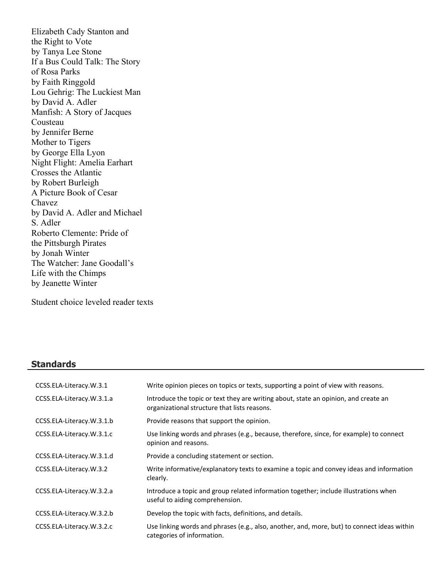Elizabeth Cady Stanton and the Right to Vote by Tanya Lee Stone If a Bus Could Talk: The Story of Rosa Parks by Faith Ringgold Lou Gehrig: The Luckiest Man by David A. Adler Manfish: A Story of Jacques Cousteau by Jennifer Berne Mother to Tigers by George Ella Lyon Night Flight: Amelia Earhart Crosses the Atlantic by Robert Burleigh A Picture Book of Cesar Chavez by David A. Adler and Michael S. Adler Roberto Clemente: Pride of the Pittsburgh Pirates by Jonah Winter The Watcher: Jane Goodall's Life with the Chimps by Jeanette Winter

Student choice leveled reader texts

#### **Standards**

| CCSS.ELA-Literacy.W.3.1   | Write opinion pieces on topics or texts, supporting a point of view with reasons.                                                   |
|---------------------------|-------------------------------------------------------------------------------------------------------------------------------------|
| CCSS.ELA-Literacy.W.3.1.a | Introduce the topic or text they are writing about, state an opinion, and create an<br>organizational structure that lists reasons. |
| CCSS.ELA-Literacy.W.3.1.b | Provide reasons that support the opinion.                                                                                           |
| CCSS.ELA-Literacy.W.3.1.c | Use linking words and phrases (e.g., because, therefore, since, for example) to connect<br>opinion and reasons.                     |
| CCSS.ELA-Literacy.W.3.1.d | Provide a concluding statement or section.                                                                                          |
| CCSS.ELA-Literacy.W.3.2   | Write informative/explanatory texts to examine a topic and convey ideas and information<br>clearly.                                 |
| CCSS.ELA-Literacy.W.3.2.a | Introduce a topic and group related information together; include illustrations when<br>useful to aiding comprehension.             |
| CCSS.ELA-Literacy.W.3.2.b | Develop the topic with facts, definitions, and details.                                                                             |
| CCSS.ELA-Literacy.W.3.2.c | Use linking words and phrases (e.g., also, another, and, more, but) to connect ideas within<br>categories of information.           |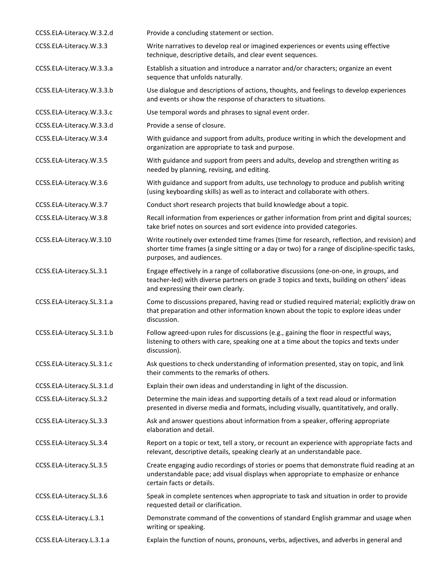| CCSS.ELA-Literacy.W.3.2.d  | Provide a concluding statement or section.                                                                                                                                                                                  |
|----------------------------|-----------------------------------------------------------------------------------------------------------------------------------------------------------------------------------------------------------------------------|
| CCSS.ELA-Literacy.W.3.3    | Write narratives to develop real or imagined experiences or events using effective<br>technique, descriptive details, and clear event sequences.                                                                            |
| CCSS.ELA-Literacy.W.3.3.a  | Establish a situation and introduce a narrator and/or characters; organize an event<br>sequence that unfolds naturally.                                                                                                     |
| CCSS.ELA-Literacy.W.3.3.b  | Use dialogue and descriptions of actions, thoughts, and feelings to develop experiences<br>and events or show the response of characters to situations.                                                                     |
| CCSS.ELA-Literacy.W.3.3.c  | Use temporal words and phrases to signal event order.                                                                                                                                                                       |
| CCSS.ELA-Literacy.W.3.3.d  | Provide a sense of closure.                                                                                                                                                                                                 |
| CCSS.ELA-Literacy.W.3.4    | With guidance and support from adults, produce writing in which the development and<br>organization are appropriate to task and purpose.                                                                                    |
| CCSS.ELA-Literacy.W.3.5    | With guidance and support from peers and adults, develop and strengthen writing as<br>needed by planning, revising, and editing.                                                                                            |
| CCSS.ELA-Literacy.W.3.6    | With guidance and support from adults, use technology to produce and publish writing<br>(using keyboarding skills) as well as to interact and collaborate with others.                                                      |
| CCSS.ELA-Literacy.W.3.7    | Conduct short research projects that build knowledge about a topic.                                                                                                                                                         |
| CCSS.ELA-Literacy.W.3.8    | Recall information from experiences or gather information from print and digital sources;<br>take brief notes on sources and sort evidence into provided categories.                                                        |
| CCSS.ELA-Literacy.W.3.10   | Write routinely over extended time frames (time for research, reflection, and revision) and<br>shorter time frames (a single sitting or a day or two) for a range of discipline-specific tasks,<br>purposes, and audiences. |
| CCSS.ELA-Literacy.SL.3.1   | Engage effectively in a range of collaborative discussions (one-on-one, in groups, and<br>teacher-led) with diverse partners on grade 3 topics and texts, building on others' ideas<br>and expressing their own clearly.    |
| CCSS.ELA-Literacy.SL.3.1.a | Come to discussions prepared, having read or studied required material; explicitly draw on<br>that preparation and other information known about the topic to explore ideas under<br>discussion.                            |
| CCSS.ELA-Literacy.SL.3.1.b | Follow agreed-upon rules for discussions (e.g., gaining the floor in respectful ways,<br>listening to others with care, speaking one at a time about the topics and texts under<br>discussion).                             |
| CCSS.ELA-Literacy.SL.3.1.c | Ask questions to check understanding of information presented, stay on topic, and link<br>their comments to the remarks of others.                                                                                          |
| CCSS.ELA-Literacy.SL.3.1.d | Explain their own ideas and understanding in light of the discussion.                                                                                                                                                       |
| CCSS.ELA-Literacy.SL.3.2   | Determine the main ideas and supporting details of a text read aloud or information<br>presented in diverse media and formats, including visually, quantitatively, and orally.                                              |
| CCSS.ELA-Literacy.SL.3.3   | Ask and answer questions about information from a speaker, offering appropriate<br>elaboration and detail.                                                                                                                  |
| CCSS.ELA-Literacy.SL.3.4   | Report on a topic or text, tell a story, or recount an experience with appropriate facts and<br>relevant, descriptive details, speaking clearly at an understandable pace.                                                  |
| CCSS.ELA-Literacy.SL.3.5   | Create engaging audio recordings of stories or poems that demonstrate fluid reading at an<br>understandable pace; add visual displays when appropriate to emphasize or enhance<br>certain facts or details.                 |
| CCSS.ELA-Literacy.SL.3.6   | Speak in complete sentences when appropriate to task and situation in order to provide<br>requested detail or clarification.                                                                                                |
| CCSS.ELA-Literacy.L.3.1    | Demonstrate command of the conventions of standard English grammar and usage when<br>writing or speaking.                                                                                                                   |
| CCSS.ELA-Literacy.L.3.1.a  | Explain the function of nouns, pronouns, verbs, adjectives, and adverbs in general and                                                                                                                                      |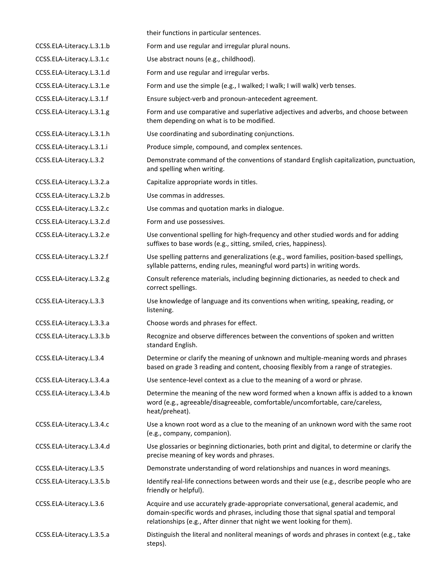|                           | their functions in particular sentences.                                                                                                                                                                                                             |
|---------------------------|------------------------------------------------------------------------------------------------------------------------------------------------------------------------------------------------------------------------------------------------------|
| CCSS.ELA-Literacy.L.3.1.b | Form and use regular and irregular plural nouns.                                                                                                                                                                                                     |
| CCSS.ELA-Literacy.L.3.1.c | Use abstract nouns (e.g., childhood).                                                                                                                                                                                                                |
| CCSS.ELA-Literacy.L.3.1.d | Form and use regular and irregular verbs.                                                                                                                                                                                                            |
| CCSS.ELA-Literacy.L.3.1.e | Form and use the simple (e.g., I walked; I walk; I will walk) verb tenses.                                                                                                                                                                           |
| CCSS.ELA-Literacy.L.3.1.f | Ensure subject-verb and pronoun-antecedent agreement.                                                                                                                                                                                                |
| CCSS.ELA-Literacy.L.3.1.g | Form and use comparative and superlative adjectives and adverbs, and choose between<br>them depending on what is to be modified.                                                                                                                     |
| CCSS.ELA-Literacy.L.3.1.h | Use coordinating and subordinating conjunctions.                                                                                                                                                                                                     |
| CCSS.ELA-Literacy.L.3.1.i | Produce simple, compound, and complex sentences.                                                                                                                                                                                                     |
| CCSS.ELA-Literacy.L.3.2   | Demonstrate command of the conventions of standard English capitalization, punctuation,<br>and spelling when writing.                                                                                                                                |
| CCSS.ELA-Literacy.L.3.2.a | Capitalize appropriate words in titles.                                                                                                                                                                                                              |
| CCSS.ELA-Literacy.L.3.2.b | Use commas in addresses.                                                                                                                                                                                                                             |
| CCSS.ELA-Literacy.L.3.2.c | Use commas and quotation marks in dialogue.                                                                                                                                                                                                          |
| CCSS.ELA-Literacy.L.3.2.d | Form and use possessives.                                                                                                                                                                                                                            |
| CCSS.ELA-Literacy.L.3.2.e | Use conventional spelling for high-frequency and other studied words and for adding<br>suffixes to base words (e.g., sitting, smiled, cries, happiness).                                                                                             |
| CCSS.ELA-Literacy.L.3.2.f | Use spelling patterns and generalizations (e.g., word families, position-based spellings,<br>syllable patterns, ending rules, meaningful word parts) in writing words.                                                                               |
| CCSS.ELA-Literacy.L.3.2.g | Consult reference materials, including beginning dictionaries, as needed to check and<br>correct spellings.                                                                                                                                          |
| CCSS.ELA-Literacy.L.3.3   | Use knowledge of language and its conventions when writing, speaking, reading, or<br>listening.                                                                                                                                                      |
| CCSS.ELA-Literacy.L.3.3.a | Choose words and phrases for effect.                                                                                                                                                                                                                 |
| CCSS.ELA-Literacy.L.3.3.b | Recognize and observe differences between the conventions of spoken and written<br>standard English.                                                                                                                                                 |
| CCSS.ELA-Literacy.L.3.4   | Determine or clarify the meaning of unknown and multiple-meaning words and phrases<br>based on grade 3 reading and content, choosing flexibly from a range of strategies.                                                                            |
| CCSS.ELA-Literacy.L.3.4.a | Use sentence-level context as a clue to the meaning of a word or phrase.                                                                                                                                                                             |
| CCSS.ELA-Literacy.L.3.4.b | Determine the meaning of the new word formed when a known affix is added to a known<br>word (e.g., agreeable/disagreeable, comfortable/uncomfortable, care/careless,<br>heat/preheat).                                                               |
| CCSS.ELA-Literacy.L.3.4.c | Use a known root word as a clue to the meaning of an unknown word with the same root<br>(e.g., company, companion).                                                                                                                                  |
| CCSS.ELA-Literacy.L.3.4.d | Use glossaries or beginning dictionaries, both print and digital, to determine or clarify the<br>precise meaning of key words and phrases.                                                                                                           |
| CCSS.ELA-Literacy.L.3.5   | Demonstrate understanding of word relationships and nuances in word meanings.                                                                                                                                                                        |
| CCSS.ELA-Literacy.L.3.5.b | Identify real-life connections between words and their use (e.g., describe people who are<br>friendly or helpful).                                                                                                                                   |
| CCSS.ELA-Literacy.L.3.6   | Acquire and use accurately grade-appropriate conversational, general academic, and<br>domain-specific words and phrases, including those that signal spatial and temporal<br>relationships (e.g., After dinner that night we went looking for them). |
| CCSS.ELA-Literacy.L.3.5.a | Distinguish the literal and nonliteral meanings of words and phrases in context (e.g., take<br>steps).                                                                                                                                               |